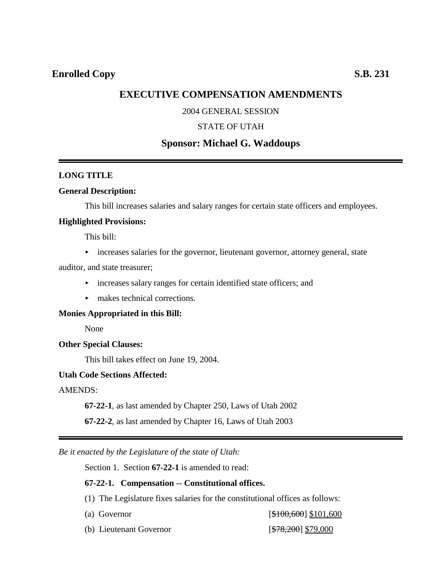# **EXECUTIVE COMPENSATION AMENDMENTS**

### 2004 GENERAL SESSION

### STATE OF UTAH

## **Sponsor: Michael G. Waddoups**

### **LONG TITLE**

#### **General Description:**

This bill increases salaries and salary ranges for certain state officers and employees.

#### **Highlighted Provisions:**

This bill:

• increases salaries for the governor, lieutenant governor, attorney general, state

auditor, and state treasurer;

- $\rightarrow$  increases salary ranges for certain identified state officers; and
- $\blacktriangleright$  makes technical corrections.

#### **Monies Appropriated in this Bill:**

None

#### **Other Special Clauses:**

This bill takes effect on June 19, 2004.

### **Utah Code Sections Affected:**

AMENDS:

**67-22-1**, as last amended by Chapter 250, Laws of Utah 2002

**67-22-2**, as last amended by Chapter 16, Laws of Utah 2003

*Be it enacted by the Legislature of the state of Utah:*

Section 1. Section **67-22-1** is amended to read:

#### **67-22-1. Compensation -- Constitutional offices.**

- (1) The Legislature fixes salaries for the constitutional offices as follows:
- 

(a) Governor  $[\$100,600] \$101,600$ 

(b) Lieutenant Governor [\$78,200] \$79,000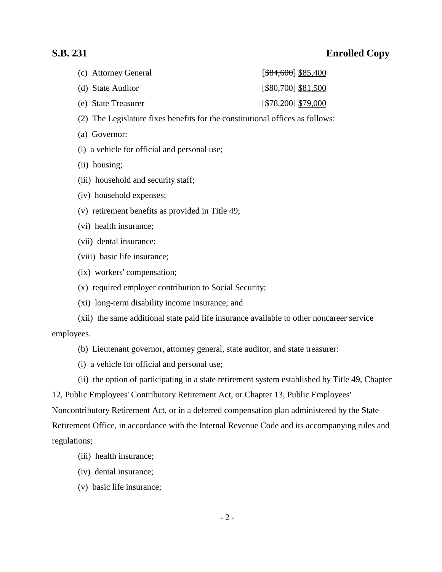# **S.B. 231 Enrolled Copy**

| (c) Attorney General | $[$ <del>\$84,600</del> ] \$85,400 |
|----------------------|------------------------------------|
| (d) State Auditor    | $[$ \$80,700] \$81,500             |
| (e) State Treasurer  | $[$78,200]$ \$79,000               |

- (2) The Legislature fixes benefits for the constitutional offices as follows:
- (a) Governor:
- (i) a vehicle for official and personal use;
- (ii) housing;
- (iii) household and security staff;
- (iv) household expenses;
- (v) retirement benefits as provided in Title 49;
- (vi) health insurance;
- (vii) dental insurance;
- (viii) basic life insurance;
- (ix) workers' compensation;
- (x) required employer contribution to Social Security;
- (xi) long-term disability income insurance; and

(xii) the same additional state paid life insurance available to other noncareer service employees.

- (b) Lieutenant governor, attorney general, state auditor, and state treasurer:
- (i) a vehicle for official and personal use;

(ii) the option of participating in a state retirement system established by Title 49, Chapter

12, Public Employees' Contributory Retirement Act, or Chapter 13, Public Employees'

Noncontributory Retirement Act, or in a deferred compensation plan administered by the State Retirement Office, in accordance with the Internal Revenue Code and its accompanying rules and regulations;

- (iii) health insurance;
- (iv) dental insurance;
- (v) basic life insurance;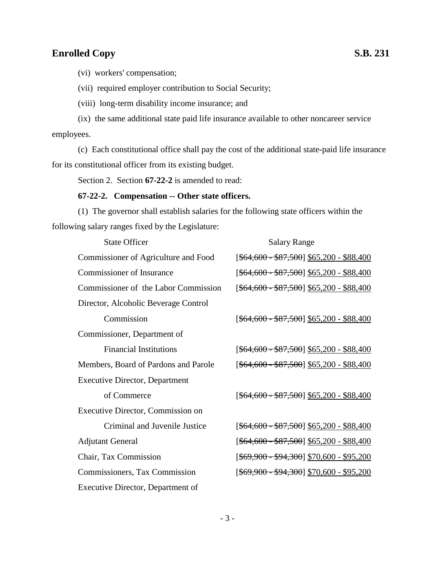# **Enrolled Copy** S.B. 231

(vi) workers' compensation;

(vii) required employer contribution to Social Security;

(viii) long-term disability income insurance; and

(ix) the same additional state paid life insurance available to other noncareer service employees.

(c) Each constitutional office shall pay the cost of the additional state-paid life insurance for its constitutional officer from its existing budget.

Section 2. Section **67-22-2** is amended to read:

#### **67-22-2. Compensation -- Other state officers.**

(1) The governor shall establish salaries for the following state officers within the following salary ranges fixed by the Legislature:

| <b>State Officer</b>                  | <b>Salary Range</b>                                           |  |
|---------------------------------------|---------------------------------------------------------------|--|
| Commissioner of Agriculture and Food  | $[ $64,600 - $87,500] $65,200 - $88,400$                      |  |
| <b>Commissioner of Insurance</b>      | $[ $64,600 - $87,500] $65,200 - $88,400$                      |  |
| Commissioner of the Labor Commission  | $[ $64,600 - $87,500] $65,200 - $88,400$                      |  |
| Director, Alcoholic Beverage Control  |                                                               |  |
| Commission                            | $[ $64,600 - $87,500] $65,200 - $88,400$                      |  |
| Commissioner, Department of           |                                                               |  |
| <b>Financial Institutions</b>         | [ <del>\$64,600 - \$87,500</del> ] <u>\$65,200 - \$88,400</u> |  |
| Members, Board of Pardons and Parole  | $[ $64,600 - $87,500] $65,200 - $88,400$                      |  |
| <b>Executive Director, Department</b> |                                                               |  |
| of Commerce                           | $[ $64,600 - $87,500] $65,200 - $88,400$                      |  |
| Executive Director, Commission on     |                                                               |  |
| Criminal and Juvenile Justice         | $[ $64,600 - $87,500] $65,200 - $88,400$                      |  |
| <b>Adjutant General</b>               | $[ $64,600 - $87,500] $65,200 - $88,400$                      |  |
| Chair, Tax Commission                 | [ <del>\$69,900 - \$94,300</del> ] <u>\$70,600 - \$95,200</u> |  |
| Commissioners, Tax Commission         | [ <del>\$69,900 - \$94,300</del> ] <u>\$70,600 - \$95,200</u> |  |
| Executive Director, Department of     |                                                               |  |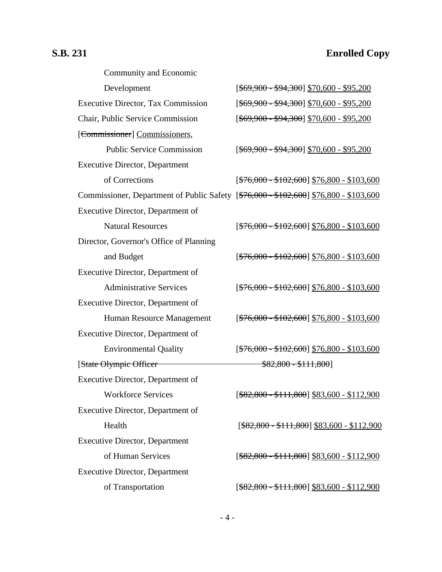# **S.B. 231 Enrolled Copy**

| Community and Economic                                                                |                                                |
|---------------------------------------------------------------------------------------|------------------------------------------------|
| Development                                                                           | $[ $69,900 - $94,300] $70,600 - $95,200$       |
| <b>Executive Director, Tax Commission</b>                                             | $[ $69,900 - $94,300] $70,600 - $95,200$       |
| Chair, Public Service Commission                                                      | $[ $69,900 - $94,300] $70,600 - $95,200$       |
| [Commissioner] Commissioners,                                                         |                                                |
| <b>Public Service Commission</b>                                                      | $[ $69,900 - $94,300] $70,600 - $95,200$       |
| <b>Executive Director, Department</b>                                                 |                                                |
| of Corrections                                                                        | $[ $76,000 - $102,600] $76,800 - $103,600$     |
| Commissioner, Department of Public Safety [\$76,000 - \$102,600] \$76,800 - \$103,600 |                                                |
| Executive Director, Department of                                                     |                                                |
| <b>Natural Resources</b>                                                              | $[ $76,000 - $102,600] $76,800 - $103,600$     |
| Director, Governor's Office of Planning                                               |                                                |
| and Budget                                                                            | $[ $76,000 - $102,600] $76,800 - $103,600$     |
| Executive Director, Department of                                                     |                                                |
| <b>Administrative Services</b>                                                        | $[ $76,000 - $102,600] $76,800 - $103,600$     |
| Executive Director, Department of                                                     |                                                |
| Human Resource Management                                                             | $[ $76,000 - $102,600] $76,800 - $103,600$     |
| Executive Director, Department of                                                     |                                                |
| <b>Environmental Quality</b>                                                          | $[ $76,000 - $102,600] $76,800 - $103,600$     |
| [State Olympic Officer                                                                | $$82,800 - $111,800]$                          |
| Executive Director, Department of                                                     |                                                |
| <b>Workforce Services</b>                                                             | $[ $82,800 - $111,800] $83,600 - $112,900$     |
| Executive Director, Department of                                                     |                                                |
| Health                                                                                | $[$ \$82,800 - \$111,800] \$83,600 - \$112,900 |
| <b>Executive Director, Department</b>                                                 |                                                |
| of Human Services                                                                     | $[$ \$82,800 - \$111,800] \$83,600 - \$112,900 |
| <b>Executive Director, Department</b>                                                 |                                                |
| of Transportation                                                                     | $[ $82,800 - $111,800] $83,600 - $112,900$     |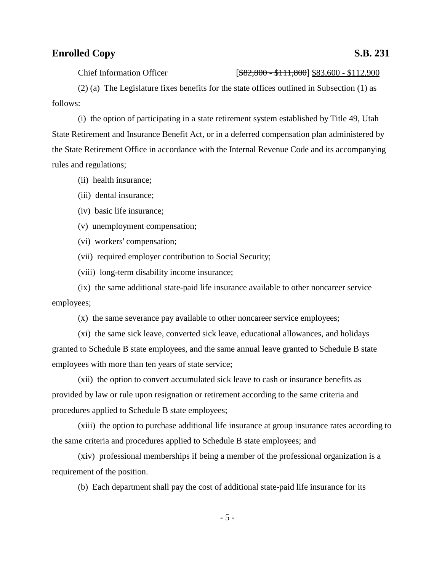## **Enrolled Copy** S.B. 231

Chief Information Officer [\$82,800 - \$111,800] \$83,600 - \$112,900

(2) (a) The Legislature fixes benefits for the state offices outlined in Subsection (1) as follows:

(i) the option of participating in a state retirement system established by Title 49, Utah State Retirement and Insurance Benefit Act, or in a deferred compensation plan administered by the State Retirement Office in accordance with the Internal Revenue Code and its accompanying rules and regulations;

- (ii) health insurance;
- (iii) dental insurance;
- (iv) basic life insurance;
- (v) unemployment compensation;
- (vi) workers' compensation;
- (vii) required employer contribution to Social Security;
- (viii) long-term disability income insurance;

(ix) the same additional state-paid life insurance available to other noncareer service employees;

(x) the same severance pay available to other noncareer service employees;

(xi) the same sick leave, converted sick leave, educational allowances, and holidays granted to Schedule B state employees, and the same annual leave granted to Schedule B state employees with more than ten years of state service;

(xii) the option to convert accumulated sick leave to cash or insurance benefits as provided by law or rule upon resignation or retirement according to the same criteria and procedures applied to Schedule B state employees;

(xiii) the option to purchase additional life insurance at group insurance rates according to the same criteria and procedures applied to Schedule B state employees; and

(xiv) professional memberships if being a member of the professional organization is a requirement of the position.

(b) Each department shall pay the cost of additional state-paid life insurance for its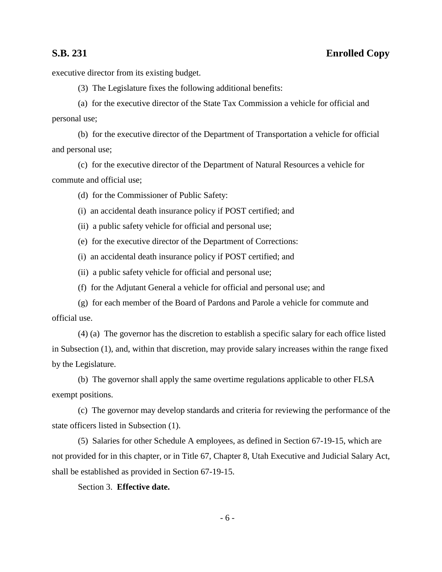executive director from its existing budget.

(3) The Legislature fixes the following additional benefits:

(a) for the executive director of the State Tax Commission a vehicle for official and personal use;

(b) for the executive director of the Department of Transportation a vehicle for official and personal use;

(c) for the executive director of the Department of Natural Resources a vehicle for commute and official use;

(d) for the Commissioner of Public Safety:

(i) an accidental death insurance policy if POST certified; and

(ii) a public safety vehicle for official and personal use;

(e) for the executive director of the Department of Corrections:

(i) an accidental death insurance policy if POST certified; and

(ii) a public safety vehicle for official and personal use;

(f) for the Adjutant General a vehicle for official and personal use; and

(g) for each member of the Board of Pardons and Parole a vehicle for commute and official use.

(4) (a) The governor has the discretion to establish a specific salary for each office listed in Subsection (1), and, within that discretion, may provide salary increases within the range fixed by the Legislature.

(b) The governor shall apply the same overtime regulations applicable to other FLSA exempt positions.

(c) The governor may develop standards and criteria for reviewing the performance of the state officers listed in Subsection (1).

(5) Salaries for other Schedule A employees, as defined in Section 67-19-15, which are not provided for in this chapter, or in Title 67, Chapter 8, Utah Executive and Judicial Salary Act, shall be established as provided in Section 67-19-15.

Section 3. **Effective date.**